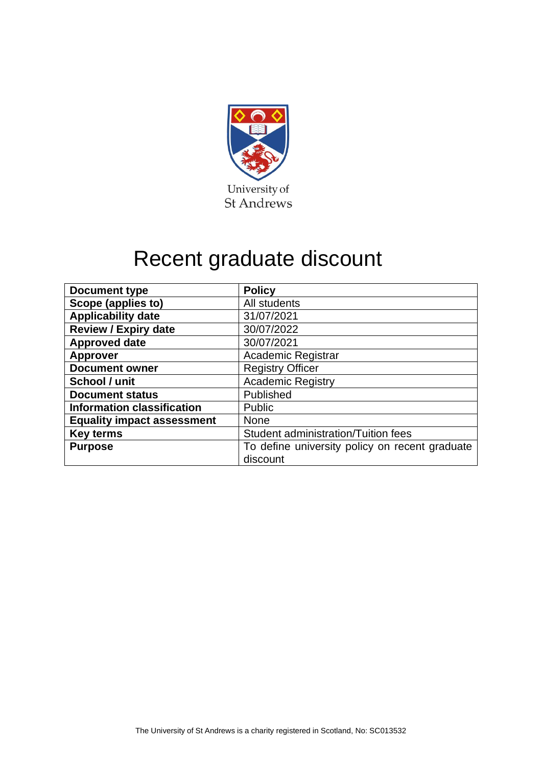

## Recent graduate discount

| <b>Document type</b>              | <b>Policy</b>                                  |  |  |  |
|-----------------------------------|------------------------------------------------|--|--|--|
| Scope (applies to)                | All students                                   |  |  |  |
| <b>Applicability date</b>         | 31/07/2021                                     |  |  |  |
| <b>Review / Expiry date</b>       | 30/07/2022                                     |  |  |  |
| <b>Approved date</b>              | 30/07/2021                                     |  |  |  |
| <b>Approver</b>                   | <b>Academic Registrar</b>                      |  |  |  |
| <b>Document owner</b>             | <b>Registry Officer</b>                        |  |  |  |
| School / unit                     | <b>Academic Registry</b>                       |  |  |  |
| <b>Document status</b>            | Published                                      |  |  |  |
| <b>Information classification</b> | <b>Public</b>                                  |  |  |  |
| <b>Equality impact assessment</b> | <b>None</b>                                    |  |  |  |
| <b>Key terms</b>                  | Student administration/Tuition fees            |  |  |  |
| <b>Purpose</b>                    | To define university policy on recent graduate |  |  |  |
|                                   | discount                                       |  |  |  |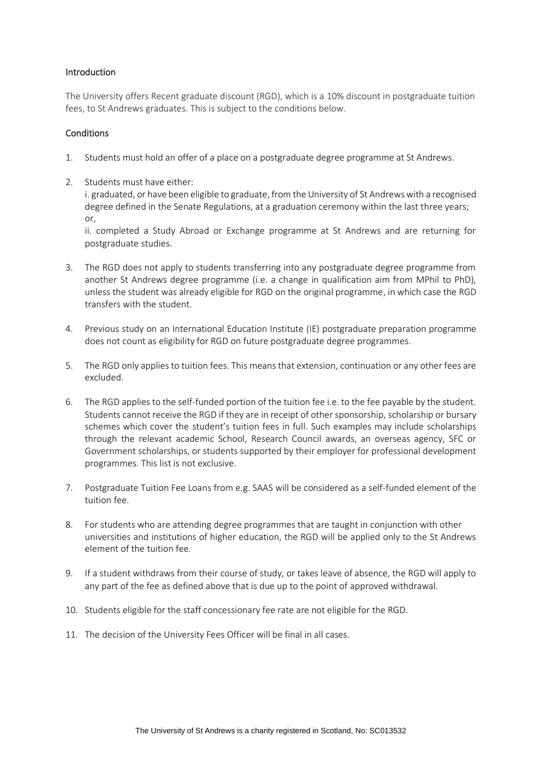## Introduction

The University offers Recent graduate discount (RGD), which is a 10% discount in postgraduate tuition fees, to St Andrews graduates. This is subject to the conditions below.

## **Conditions**

- 1. Students must hold an offer of a place on a postgraduate degree programme at St Andrews.
- 2. Students must have either:

i. graduated, or have been eligible to graduate, from the University of St Andrews with a recognised degree defined in the Senate Regulations, at a graduation ceremony within the last three years; or,

ii. completed a Study Abroad or Exchange programme at St Andrews and are returning for postgraduate studies.

- 3. The RGD does not apply to students transferring into any postgraduate degree programme from another St Andrews degree programme (i.e. a change in qualification aim from MPhil to PhD), unless the student was already eligible for RGD on the original programme, in which case the RGD transfers with the student.
- 4. Previous study on an International Education Institute (IE) postgraduate preparation programme does not count as eligibility for RGD on future postgraduate degree programmes.
- 5. The RGD only applies to tuition fees. This means that extension, continuation or any other fees are excluded.
- 6. The RGD applies to the self-funded portion of the tuition fee i.e. to the fee payable by the student. Students cannot receive the RGD if they are in receipt of other sponsorship, scholarship or bursary schemes which cover the student's tuition fees in full. Such examples may include scholarships through the relevant academic School, Research Council awards, an overseas agency, SFC or Government scholarships, or students supported by their employer for professional development programmes. This list is not exclusive.
- 7. Postgraduate Tuition Fee Loans from e.g. SAAS will be considered as a self-funded element of the tuition fee.
- 8. For students who are attending degree programmes that are taught in conjunction with other universities and institutions of higher education, the RGD will be applied only to the St Andrews element of the tuition fee.
- 9. If a student withdraws from their course of study, or takes leave of absence, the RGD will apply to any part of the fee as defined above that is due up to the point of approved withdrawal.
- 10. Students eligible for the staff concessionary fee rate are not eligible for the RGD.
- 11. The decision of the University Fees Officer will be final in all cases.